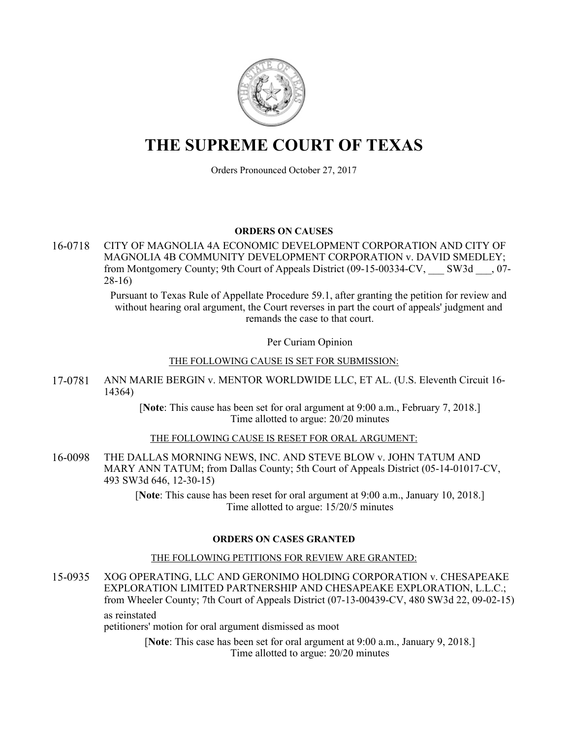

# **THE SUPREME COURT OF TEXAS**

Orders Pronounced October 27, 2017

#### **ORDERS ON CAUSES**

16-0718 CITY OF MAGNOLIA 4A ECONOMIC DEVELOPMENT CORPORATION AND CITY OF MAGNOLIA 4B COMMUNITY DEVELOPMENT CORPORATION v. DAVID SMEDLEY; from Montgomery County; 9th Court of Appeals District (09-15-00334-CV, \_\_\_ SW3d \_\_\_, 07- 28-16)

> Pursuant to Texas Rule of Appellate Procedure 59.1, after granting the petition for review and without hearing oral argument, the Court reverses in part the court of appeals' judgment and remands the case to that court.

> > Per Curiam Opinion

#### THE FOLLOWING CAUSE IS SET FOR SUBMISSION:

17-0781 ANN MARIE BERGIN v. MENTOR WORLDWIDE LLC, ET AL. (U.S. Eleventh Circuit 16- 14364)

> [**Note**: This cause has been set for oral argument at 9:00 a.m., February 7, 2018.] Time allotted to argue: 20/20 minutes

## THE FOLLOWING CAUSE IS RESET FOR ORAL ARGUMENT:

16-0098 THE DALLAS MORNING NEWS, INC. AND STEVE BLOW v. JOHN TATUM AND MARY ANN TATUM; from Dallas County; 5th Court of Appeals District (05-14-01017-CV, 493 SW3d 646, 12-30-15)

> [**Note**: This cause has been reset for oral argument at 9:00 a.m., January 10, 2018.] Time allotted to argue: 15/20/5 minutes

## **ORDERS ON CASES GRANTED**

## THE FOLLOWING PETITIONS FOR REVIEW ARE GRANTED:

15-0935 XOG OPERATING, LLC AND GERONIMO HOLDING CORPORATION v. CHESAPEAKE EXPLORATION LIMITED PARTNERSHIP AND CHESAPEAKE EXPLORATION, L.L.C.; from Wheeler County; 7th Court of Appeals District (07-13-00439-CV, 480 SW3d 22, 09-02-15) as reinstated

petitioners' motion for oral argument dismissed as moot

[**Note**: This case has been set for oral argument at 9:00 a.m., January 9, 2018.] Time allotted to argue: 20/20 minutes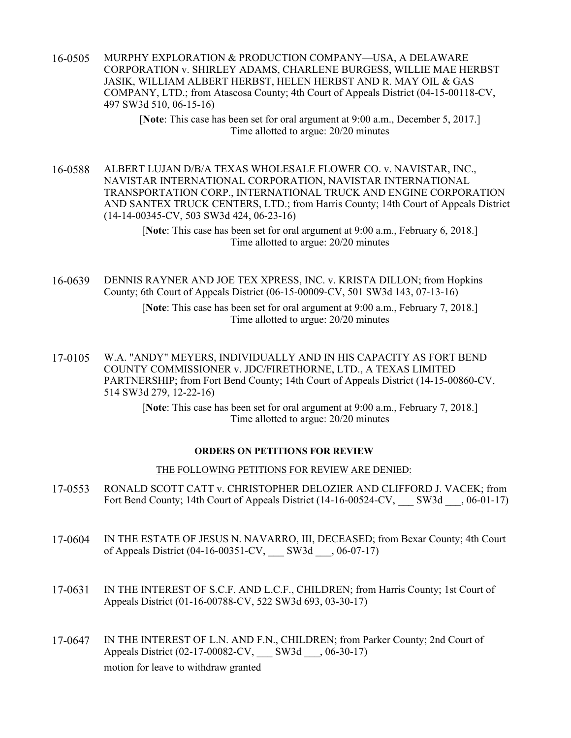16-0505 MURPHY EXPLORATION & PRODUCTION COMPANY—USA, A DELAWARE CORPORATION v. SHIRLEY ADAMS, CHARLENE BURGESS, WILLIE MAE HERBST JASIK, WILLIAM ALBERT HERBST, HELEN HERBST AND R. MAY OIL & GAS COMPANY, LTD.; from Atascosa County; 4th Court of Appeals District (04-15-00118-CV, 497 SW3d 510, 06-15-16)

> [**Note**: This case has been set for oral argument at 9:00 a.m., December 5, 2017.] Time allotted to argue: 20/20 minutes

16-0588 ALBERT LUJAN D/B/A TEXAS WHOLESALE FLOWER CO. v. NAVISTAR, INC., NAVISTAR INTERNATIONAL CORPORATION, NAVISTAR INTERNATIONAL TRANSPORTATION CORP., INTERNATIONAL TRUCK AND ENGINE CORPORATION AND SANTEX TRUCK CENTERS, LTD.; from Harris County; 14th Court of Appeals District (14-14-00345-CV, 503 SW3d 424, 06-23-16)

> [**Note**: This case has been set for oral argument at 9:00 a.m., February 6, 2018.] Time allotted to argue: 20/20 minutes

16-0639 DENNIS RAYNER AND JOE TEX XPRESS, INC. v. KRISTA DILLON; from Hopkins County; 6th Court of Appeals District (06-15-00009-CV, 501 SW3d 143, 07-13-16)

> [**Note**: This case has been set for oral argument at 9:00 a.m., February 7, 2018.] Time allotted to argue: 20/20 minutes

17-0105 W.A. "ANDY" MEYERS, INDIVIDUALLY AND IN HIS CAPACITY AS FORT BEND COUNTY COMMISSIONER v. JDC/FIRETHORNE, LTD., A TEXAS LIMITED PARTNERSHIP; from Fort Bend County; 14th Court of Appeals District (14-15-00860-CV, 514 SW3d 279, 12-22-16)

> [**Note**: This case has been set for oral argument at 9:00 a.m., February 7, 2018.] Time allotted to argue: 20/20 minutes

#### **ORDERS ON PETITIONS FOR REVIEW**

#### THE FOLLOWING PETITIONS FOR REVIEW ARE DENIED:

- 17-0553 RONALD SCOTT CATT v. CHRISTOPHER DELOZIER AND CLIFFORD J. VACEK; from Fort Bend County; 14th Court of Appeals District (14-16-00524-CV, SW3d , 06-01-17)
- 17-0604 IN THE ESTATE OF JESUS N. NAVARRO, III, DECEASED; from Bexar County; 4th Court of Appeals District (04-16-00351-CV, \_\_\_ SW3d \_\_\_, 06-07-17)
- 17-0631 IN THE INTEREST OF S.C.F. AND L.C.F., CHILDREN; from Harris County; 1st Court of Appeals District (01-16-00788-CV, 522 SW3d 693, 03-30-17)
- 17-0647 IN THE INTEREST OF L.N. AND F.N., CHILDREN; from Parker County; 2nd Court of Appeals District (02-17-00082-CV, SW3d , 06-30-17) motion for leave to withdraw granted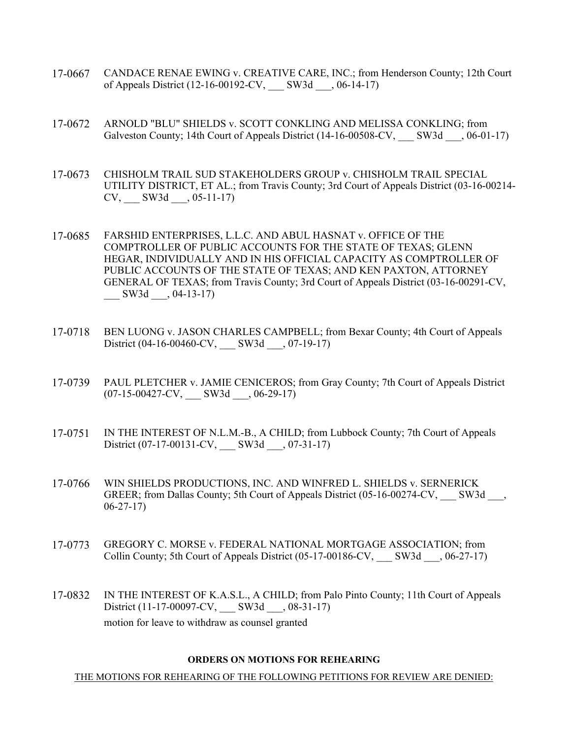- 17-0667 CANDACE RENAE EWING v. CREATIVE CARE, INC.; from Henderson County; 12th Court of Appeals District (12-16-00192-CV, \_\_\_\_ SW3d \_\_\_, 06-14-17)
- 17-0672 ARNOLD "BLU" SHIELDS v. SCOTT CONKLING AND MELISSA CONKLING; from Galveston County; 14th Court of Appeals District (14-16-00508-CV, SW3d \_\_, 06-01-17)
- 17-0673 CHISHOLM TRAIL SUD STAKEHOLDERS GROUP v. CHISHOLM TRAIL SPECIAL UTILITY DISTRICT, ET AL.; from Travis County; 3rd Court of Appeals District (03-16-00214-  $CV,$  SW3d  $, 05-11-17)$
- 17-0685 FARSHID ENTERPRISES, L.L.C. AND ABUL HASNAT v. OFFICE OF THE COMPTROLLER OF PUBLIC ACCOUNTS FOR THE STATE OF TEXAS; GLENN HEGAR, INDIVIDUALLY AND IN HIS OFFICIAL CAPACITY AS COMPTROLLER OF PUBLIC ACCOUNTS OF THE STATE OF TEXAS; AND KEN PAXTON, ATTORNEY GENERAL OF TEXAS; from Travis County; 3rd Court of Appeals District (03-16-00291-CV, \_\_\_ SW3d \_\_\_, 04-13-17)
- 17-0718 BEN LUONG v. JASON CHARLES CAMPBELL; from Bexar County; 4th Court of Appeals District (04-16-00460-CV, SW3d , 07-19-17)
- 17-0739 PAUL PLETCHER v. JAMIE CENICEROS; from Gray County; 7th Court of Appeals District  $(07-15-00427$ -CV, \_\_\_\_ SW3d \_\_\_, 06-29-17)
- 17-0751 IN THE INTEREST OF N.L.M.-B., A CHILD; from Lubbock County; 7th Court of Appeals District (07-17-00131-CV, \_\_\_ SW3d \_\_\_, 07-31-17)
- 17-0766 WIN SHIELDS PRODUCTIONS, INC. AND WINFRED L. SHIELDS v. SERNERICK GREER; from Dallas County; 5th Court of Appeals District (05-16-00274-CV, SW3d, 06-27-17)
- 17-0773 GREGORY C. MORSE v. FEDERAL NATIONAL MORTGAGE ASSOCIATION; from Collin County; 5th Court of Appeals District (05-17-00186-CV, \_\_\_ SW3d \_\_\_, 06-27-17)
- 17-0832 IN THE INTEREST OF K.A.S.L., A CHILD; from Palo Pinto County; 11th Court of Appeals District (11-17-00097-CV, \_\_\_ SW3d \_\_\_, 08-31-17) motion for leave to withdraw as counsel granted

#### **ORDERS ON MOTIONS FOR REHEARING**

THE MOTIONS FOR REHEARING OF THE FOLLOWING PETITIONS FOR REVIEW ARE DENIED: